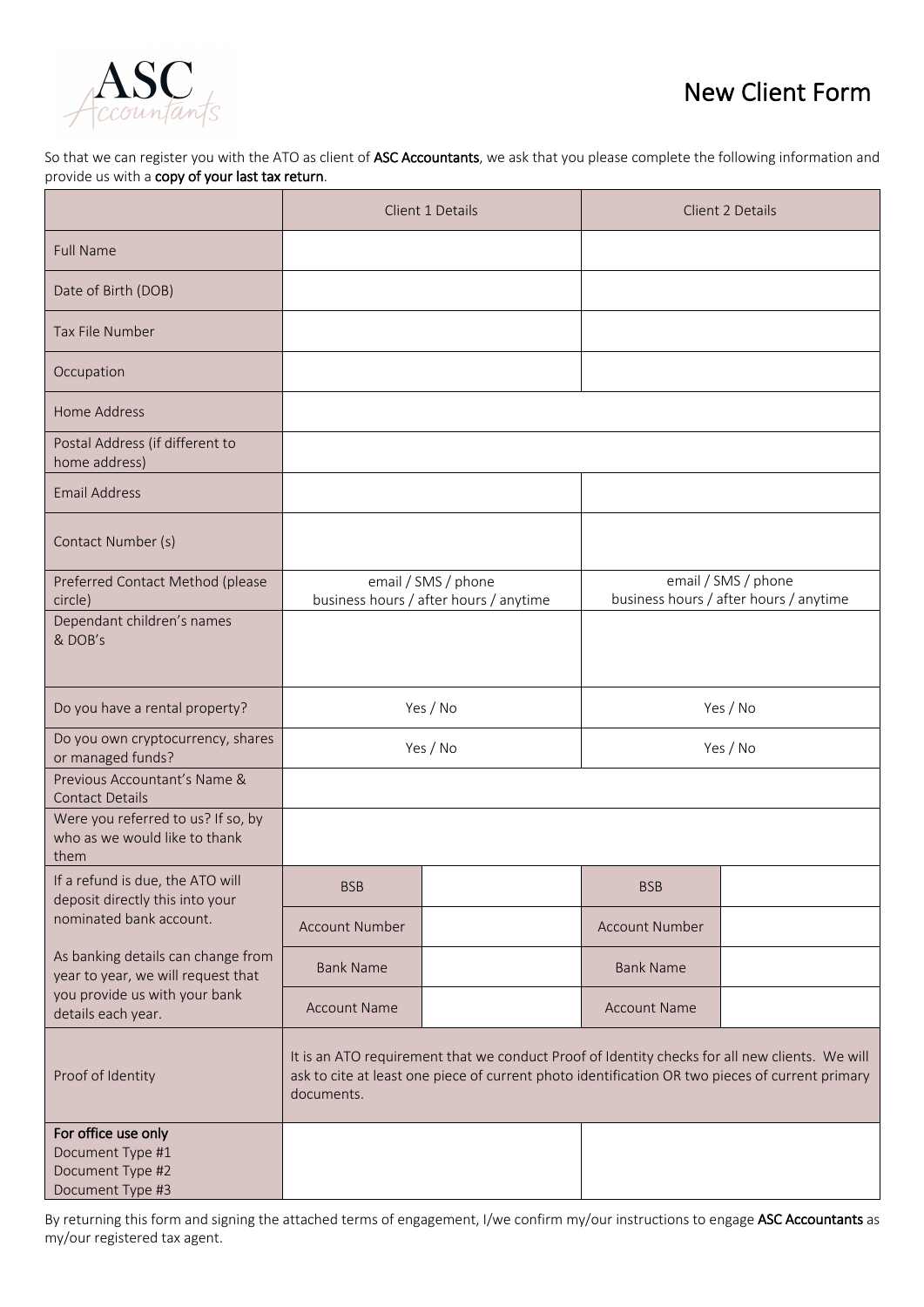

## New Client Form

So that we can register you with the ATO as client of ASC Accountants, we ask that you please complete the following information and provide us with a copy of your last tax return.

|                                                                                                                                 | Client 1 Details                                                                                                                                                                                                |  | Client 2 Details                                              |  |
|---------------------------------------------------------------------------------------------------------------------------------|-----------------------------------------------------------------------------------------------------------------------------------------------------------------------------------------------------------------|--|---------------------------------------------------------------|--|
| <b>Full Name</b>                                                                                                                |                                                                                                                                                                                                                 |  |                                                               |  |
| Date of Birth (DOB)                                                                                                             |                                                                                                                                                                                                                 |  |                                                               |  |
| Tax File Number                                                                                                                 |                                                                                                                                                                                                                 |  |                                                               |  |
| Occupation                                                                                                                      |                                                                                                                                                                                                                 |  |                                                               |  |
| Home Address                                                                                                                    |                                                                                                                                                                                                                 |  |                                                               |  |
| Postal Address (if different to<br>home address)                                                                                |                                                                                                                                                                                                                 |  |                                                               |  |
| <b>Email Address</b>                                                                                                            |                                                                                                                                                                                                                 |  |                                                               |  |
| Contact Number (s)                                                                                                              |                                                                                                                                                                                                                 |  |                                                               |  |
| Preferred Contact Method (please<br>circle)                                                                                     | email / SMS / phone<br>business hours / after hours / anytime                                                                                                                                                   |  | email / SMS / phone<br>business hours / after hours / anytime |  |
| Dependant children's names<br>& DOB's                                                                                           |                                                                                                                                                                                                                 |  |                                                               |  |
| Do you have a rental property?                                                                                                  | Yes / No                                                                                                                                                                                                        |  | Yes / No                                                      |  |
| Do you own cryptocurrency, shares<br>or managed funds?                                                                          | Yes / No                                                                                                                                                                                                        |  | Yes / No                                                      |  |
| Previous Accountant's Name &<br><b>Contact Details</b>                                                                          |                                                                                                                                                                                                                 |  |                                                               |  |
| Were you referred to us? If so, by<br>who as we would like to thank<br>them                                                     |                                                                                                                                                                                                                 |  |                                                               |  |
| If a refund is due, the ATO will<br>deposit directly this into your<br>nominated bank account.                                  | <b>BSB</b>                                                                                                                                                                                                      |  | <b>BSB</b>                                                    |  |
|                                                                                                                                 | <b>Account Number</b>                                                                                                                                                                                           |  | <b>Account Number</b>                                         |  |
| As banking details can change from<br>year to year, we will request that<br>you provide us with your bank<br>details each year. | <b>Bank Name</b>                                                                                                                                                                                                |  | <b>Bank Name</b>                                              |  |
|                                                                                                                                 | <b>Account Name</b>                                                                                                                                                                                             |  | <b>Account Name</b>                                           |  |
| Proof of Identity                                                                                                               | It is an ATO requirement that we conduct Proof of Identity checks for all new clients. We will<br>ask to cite at least one piece of current photo identification OR two pieces of current primary<br>documents. |  |                                                               |  |
| For office use only<br>Document Type #1<br>Document Type #2<br>Document Type #3                                                 |                                                                                                                                                                                                                 |  |                                                               |  |

By returning this form and signing the attached terms of engagement, I/we confirm my/our instructions to engage ASC Accountants as my/our registered tax agent.